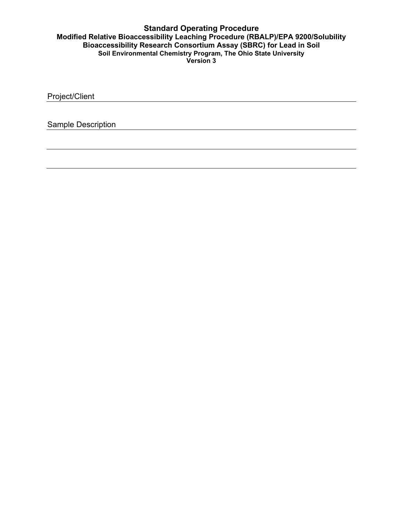Project/Client

Sample Description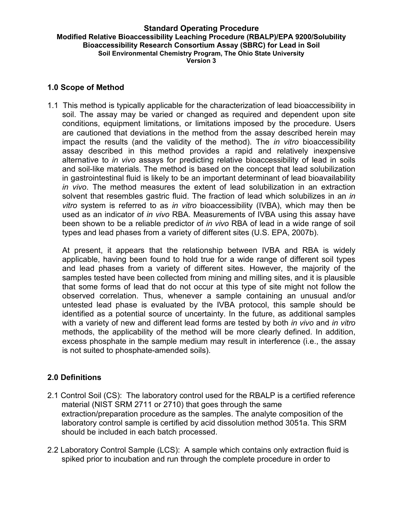### **1.0 Scope of Method**

1.1 This method is typically applicable for the characterization of lead bioaccessibility in soil. The assay may be varied or changed as required and dependent upon site conditions, equipment limitations, or limitations imposed by the procedure. Users are cautioned that deviations in the method from the assay described herein may impact the results (and the validity of the method). The *in vitro* bioaccessibility assay described in this method provides a rapid and relatively inexpensive alternative to *in vivo* assays for predicting relative bioaccessibility of lead in soils and soil-like materials. The method is based on the concept that lead solubilization in gastrointestinal fluid is likely to be an important determinant of lead bioavailability *in vivo*. The method measures the extent of lead solubilization in an extraction solvent that resembles gastric fluid. The fraction of lead which solubilizes in an *in vitro* system is referred to as *in vitro* bioaccessibility (IVBA), which may then be used as an indicator of *in vivo* RBA. Measurements of IVBA using this assay have been shown to be a reliable predictor of *in vivo* RBA of lead in a wide range of soil types and lead phases from a variety of different sites (U.S. EPA, 2007b).

At present, it appears that the relationship between IVBA and RBA is widely applicable, having been found to hold true for a wide range of different soil types and lead phases from a variety of different sites. However, the majority of the samples tested have been collected from mining and milling sites, and it is plausible that some forms of lead that do not occur at this type of site might not follow the observed correlation. Thus, whenever a sample containing an unusual and/or untested lead phase is evaluated by the IVBA protocol, this sample should be identified as a potential source of uncertainty. In the future, as additional samples with a variety of new and different lead forms are tested by both *in vivo* and *in vitro*  methods, the applicability of the method will be more clearly defined. In addition, excess phosphate in the sample medium may result in interference (i.e., the assay is not suited to phosphate-amended soils).

## **2.0 Definitions**

- 2.1 Control Soil (CS): The laboratory control used for the RBALP is a certified reference material (NIST SRM 2711 or 2710) that goes through the same extraction/preparation procedure as the samples. The analyte composition of the laboratory control sample is certified by acid dissolution method 3051a. This SRM should be included in each batch processed.
- 2.2 Laboratory Control Sample (LCS): A sample which contains only extraction fluid is spiked prior to incubation and run through the complete procedure in order to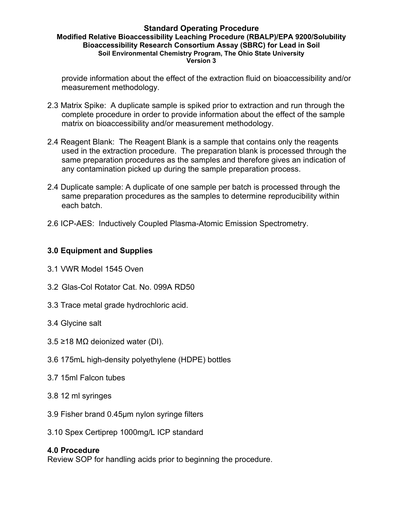provide information about the effect of the extraction fluid on bioaccessibility and/or measurement methodology.

- 2.3 Matrix Spike: A duplicate sample is spiked prior to extraction and run through the complete procedure in order to provide information about the effect of the sample matrix on bioaccessibility and/or measurement methodology.
- 2.4 Reagent Blank: The Reagent Blank is a sample that contains only the reagents used in the extraction procedure. The preparation blank is processed through the same preparation procedures as the samples and therefore gives an indication of any contamination picked up during the sample preparation process.
- 2.4 Duplicate sample: A duplicate of one sample per batch is processed through the same preparation procedures as the samples to determine reproducibility within each batch.
- 2.6 ICP-AES: Inductively Coupled Plasma-Atomic Emission Spectrometry.

## **3.0 Equipment and Supplies**

- 3.1 VWR Model 1545 Oven
- 3.2 Glas-Col Rotator Cat. No. 099A RD50
- 3.3 Trace metal grade hydrochloric acid.
- 3.4 Glycine salt
- 3.5 ≥18 MΩ deionized water (DI).
- 3.6 175mL high-density polyethylene (HDPE) bottles
- 3.7 15ml Falcon tubes
- 3.8 12 ml syringes
- 3.9 Fisher brand 0.45µm nylon syringe filters
- 3.10 Spex Certiprep 1000mg/L ICP standard

## **4.0 Procedure**

Review SOP for handling acids prior to beginning the procedure.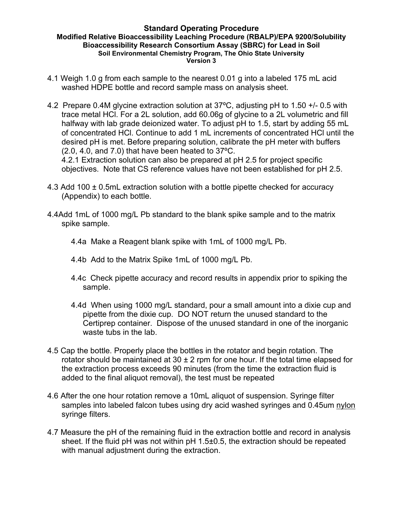- 4.1 Weigh 1.0 g from each sample to the nearest 0.01 g into a labeled 175 mL acid washed HDPE bottle and record sample mass on analysis sheet.
- 4.2 Prepare 0.4M glycine extraction solution at 37ºC, adjusting pH to 1.50 +/- 0.5 with trace metal HCl. For a 2L solution, add 60.06g of glycine to a 2L volumetric and fill halfway with lab grade deionized water. To adjust pH to 1.5, start by adding 55 mL of concentrated HCl. Continue to add 1 mL increments of concentrated HCl until the desired pH is met. Before preparing solution, calibrate the pH meter with buffers (2.0, 4.0, and 7.0) that have been heated to 37ºC.

4.2.1 Extraction solution can also be prepared at pH 2.5 for project specific objectives. Note that CS reference values have not been established for pH 2.5.

- 4.3 Add 100 ± 0.5mL extraction solution with a bottle pipette checked for accuracy (Appendix) to each bottle.
- 4.4Add 1mL of 1000 mg/L Pb standard to the blank spike sample and to the matrix spike sample.
	- 4.4a Make a Reagent blank spike with 1mL of 1000 mg/L Pb.
	- 4.4b Add to the Matrix Spike 1mL of 1000 mg/L Pb.
	- 4.4c Check pipette accuracy and record results in appendix prior to spiking the sample.
	- 4.4d When using 1000 mg/L standard, pour a small amount into a dixie cup and pipette from the dixie cup. DO NOT return the unused standard to the Certiprep container. Dispose of the unused standard in one of the inorganic waste tubs in the lab.
- 4.5 Cap the bottle. Properly place the bottles in the rotator and begin rotation. The rotator should be maintained at  $30 \pm 2$  rpm for one hour. If the total time elapsed for the extraction process exceeds 90 minutes (from the time the extraction fluid is added to the final aliquot removal), the test must be repeated
- 4.6 After the one hour rotation remove a 10mL aliquot of suspension. Syringe filter samples into labeled falcon tubes using dry acid washed syringes and 0.45um nylon syringe filters.
- 4.7 Measure the pH of the remaining fluid in the extraction bottle and record in analysis sheet. If the fluid pH was not within pH 1.5±0.5, the extraction should be repeated with manual adjustment during the extraction.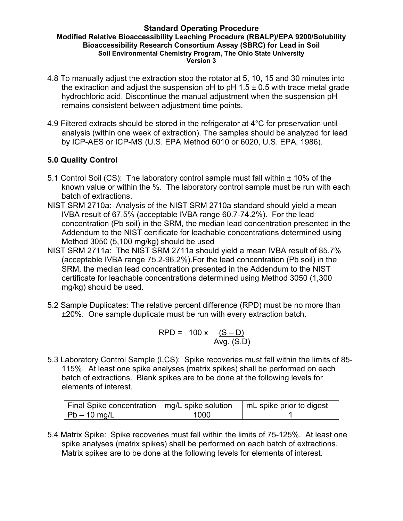- 4.8 To manually adjust the extraction stop the rotator at 5, 10, 15 and 30 minutes into the extraction and adjust the suspension pH to pH  $1.5 \pm 0.5$  with trace metal grade hydrochloric acid. Discontinue the manual adjustment when the suspension pH remains consistent between adjustment time points.
- 4.9 Filtered extracts should be stored in the refrigerator at 4°C for preservation until analysis (within one week of extraction). The samples should be analyzed for lead by ICP-AES or ICP-MS (U.S. EPA Method 6010 or 6020, U.S. EPA, 1986).

# **5.0 Quality Control**

- 5.1 Control Soil (CS): The laboratory control sample must fall within ± 10% of the known value or within the %. The laboratory control sample must be run with each batch of extractions.
- NIST SRM 2710a: Analysis of the NIST SRM 2710a standard should yield a mean IVBA result of 67.5% (acceptable IVBA range 60.7-74.2%). For the lead concentration (Pb soil) in the SRM, the median lead concentration presented in the Addendum to the NIST certificate for leachable concentrations determined using Method 3050 (5,100 mg/kg) should be used
- NIST SRM 2711a: The NIST SRM 2711a should yield a mean IVBA result of 85.7% (acceptable IVBA range 75.2-96.2%).For the lead concentration (Pb soil) in the SRM, the median lead concentration presented in the Addendum to the NIST certificate for leachable concentrations determined using Method 3050 (1,300 mg/kg) should be used.
- 5.2 Sample Duplicates: The relative percent difference (RPD) must be no more than ±20%. One sample duplicate must be run with every extraction batch.

$$
RPD = 100 \times \frac{(S - D)}{Avg. (S, D)}
$$

5.3 Laboratory Control Sample (LCS): Spike recoveries must fall within the limits of 85- 115%. At least one spike analyses (matrix spikes) shall be performed on each batch of extractions. Blank spikes are to be done at the following levels for elements of interest.

| Final Spike concentration   mg/L spike solution |      | mL spike prior to digest |
|-------------------------------------------------|------|--------------------------|
| $ Pb - 10$ mg/L                                 | 1000 |                          |

5.4 Matrix Spike: Spike recoveries must fall within the limits of 75-125%. At least one spike analyses (matrix spikes) shall be performed on each batch of extractions. Matrix spikes are to be done at the following levels for elements of interest.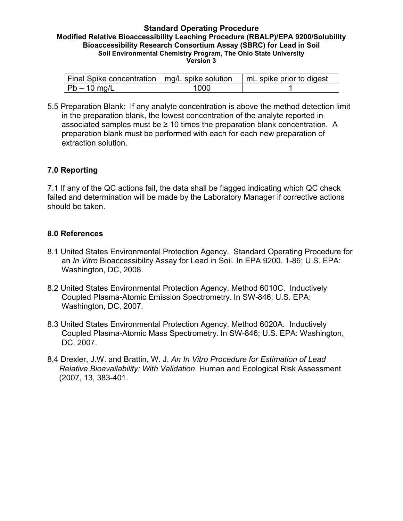| Final Spike concentration   mg/L spike solution |      | mL spike prior to digest |
|-------------------------------------------------|------|--------------------------|
| $ Pb - 10$ mg/L                                 | 1000 |                          |

5.5 Preparation Blank: If any analyte concentration is above the method detection limit in the preparation blank, the lowest concentration of the analyte reported in associated samples must be  $\geq 10$  times the preparation blank concentration. A preparation blank must be performed with each for each new preparation of extraction solution.

## **7.0 Reporting**

7.1 If any of the QC actions fail, the data shall be flagged indicating which QC check failed and determination will be made by the Laboratory Manager if corrective actions should be taken.

## **8.0 References**

- 8.1 United States Environmental Protection Agency. Standard Operating Procedure for an *In Vitro* Bioaccessibility Assay for Lead in Soil. In EPA 9200. 1-86; U.S. EPA: Washington, DC, 2008.
- 8.2 United States Environmental Protection Agency. Method 6010C. Inductively Coupled Plasma-Atomic Emission Spectrometry. In SW-846; U.S. EPA: Washington, DC, 2007.
- 8.3 United States Environmental Protection Agency. Method 6020A. Inductively Coupled Plasma-Atomic Mass Spectrometry. In SW-846; U.S. EPA: Washington, DC, 2007.
- 8.4 Drexler, J.W. and Brattin, W. J. *An In Vitro Procedure for Estimation of Lead Relative Bioavailability: With Validation*. Human and Ecological Risk Assessment (2007, 13, 383-401.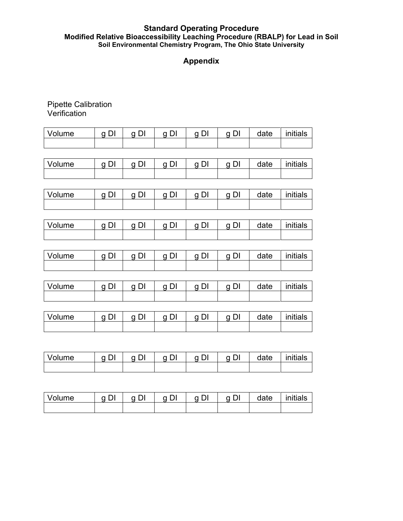#### **Standard Operating Procedure Modified Relative Bioaccessibility Leaching Procedure (RBALP) for Lead in Soil Soil Environmental Chemistry Program, The Ohio State University**

# **Appendix**

## Pipette Calibration Verification

| <i>Volume</i> | $\sim$ | $\sim$ | q DI | q DI | date | initials |
|---------------|--------|--------|------|------|------|----------|
|               |        |        |      |      |      |          |

| Volume | $\sim$ | $\sim$ | n<br>DΙ | $\sim$ | DI<br><sub>U</sub> | date | initials |
|--------|--------|--------|---------|--------|--------------------|------|----------|
|        |        |        |         |        |                    |      |          |

| ⊴lume | $\sim$ | $\sim$ | $\sim$<br>U. | $\tilde{\phantom{a}}$ | $\sim$ | Jate | initials |
|-------|--------|--------|--------------|-----------------------|--------|------|----------|
|       |        |        |              |                       |        |      |          |

| Volume | $\sim$ | $\tilde{\phantom{a}}$ | $\tilde{\phantom{a}}$ | $\sim$ | n<br>וט | date | initials |
|--------|--------|-----------------------|-----------------------|--------|---------|------|----------|
|        |        |                       |                       |        |         |      |          |

| <b>Volume</b> | $\alpha$ $\Gamma$ | ∩ ∩l | q DI | n DI | q DI | date | initials |
|---------------|-------------------|------|------|------|------|------|----------|
|               |                   |      |      |      |      |      |          |

| Volume | $\sim$ | $\sim$ | $\sim$ | $\sim$ | $\sim$<br>ັບ. | date | .<br>initials |
|--------|--------|--------|--------|--------|---------------|------|---------------|
|        |        |        |        |        |               |      |               |

| ∣ Volume | $\sim$ | $\sim$ | $\sim$<br>ັບ. | $\sim$ | DI<br>a | date | .<br>initials |
|----------|--------|--------|---------------|--------|---------|------|---------------|
|          |        |        |               |        |         |      |               |

| Volume | $\tilde{\phantom{a}}$ | $\sim$ | $\sim$<br>ັບ. | ∼ | $\sim$<br>ັບເ | date | initials |
|--------|-----------------------|--------|---------------|---|---------------|------|----------|
|        |                       |        |               |   |               |      |          |

| Volume | $\sim$ | $\tilde{\phantom{a}}$ | n<br>DΙ | ~ | DI<br>a | date | initials |
|--------|--------|-----------------------|---------|---|---------|------|----------|
|        |        |                       |         |   |         |      |          |